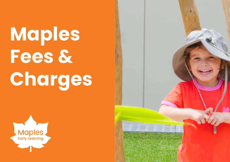**Maples Fees & Charges**



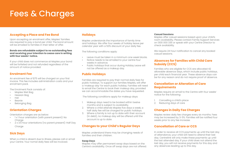# Fees & Charges

## **Accepting a Place and Fee Bond**

Upon accepting an enrolment offer, Maples' families are required to pay a bond per child. The bond amount will be emailed to families in their letter of offer.

**Bonds are refundable subject to no outstanding fees and receiving your intention to cease care in writing with four weeks' notice.**

If your child does not commence at Maples your bond will be forfeited and not refunded regardless of the amount of notice provided.

## **Enrolment Fee**

An enrolment fee of \$75 will be charged on your first invoice. This fee includes administration costs and your enrolment pack.

The Enrolment Pack consists of:

- Maples Wet Bag
- Hessian Bag
- Hat
- Beanie
- Belonging Bag

# **Orientation Charges**

Orientation charges are as below:

- 1 x 1 hour orientation (with parent present): No Charae
- 2 x 3.5 hour orientations (no parent present): Half Day Charge

# **Sick Days**

When a child is absent due to illness, please call or email your Centre. Your nomal daily fees will be invoiced.

### **Holidays**

Maples understands the importance of family time and holidays. We offer four weeks of holiday leave per calendar year with a 50% discount of your daily fee.

The following conditions apply:

- Leave must be taken in a minimum one week blocks.
- Notice needs to be emailed to your centre four weeks in advance.
- Public holidays that occur during Holiday Leave will not be offered as a makeup day.

# **Public Holidays**

Families are required to pay their normal daily fees for public holidays. To support our families Maples, will offer a 'makeup day' for each public holiday. Families will need to email the Centre to book their makeup day, provided we can accommodate the dates you have requested.

The following conditions apply for makeup days:

- 1. Makeup days need to be booked within twelve months and is subject to availability.
- 2. Where a child attends Maples five days a week, a half daily fee will be charged for public holidays.
- 3. Where a family is not up to date with their account (in debt), no makeup day will be offered until the account is up to date.

# **Changes to your Child's Regular Days**

Maples understand there may be changing needs of families and their children.

#### **Swap Days**

Maples may offer permanent swap days based on the Centre's availability. Once off swap days are not offered.

#### **Casual Sessions**

Maples offer casual sessions based upon your child's room availability. Please contact Family Support Services on 1300 000 335 or speak with your Centre Director to check availability.

We require 24 hour notification to cancel any booked casual sessions.

# **Absences for Families with Child Care Subsidy (CCS)**

Families who are eligible for CCS are allocated 42 allowable absence days, which include public holidays, per child each financial year. These absence days can be for any reason and do not require proof of absence.

## **Cancellation or Alteration of Care Requirements**

Maples require an email to the Centre with four weeks' notice for the following:

- 1. Cancelling a child's place
- 2. Reducing days of care

# **Changes in Daily Fee Charges**

Maples review daily fee charges every six months. Fees may be increased by 3-5%. Families will be notified four weeks prior to any fee increase.

## **Cancellation of Care or CCS**

In order to receive all CCS payments up until the last day of attendance, your child will need to attend their last day. Centrelink will only make these payments up until the last attended day. If your child does not attend the last day, you will not receive payments for this day and any absences leading up to this day.